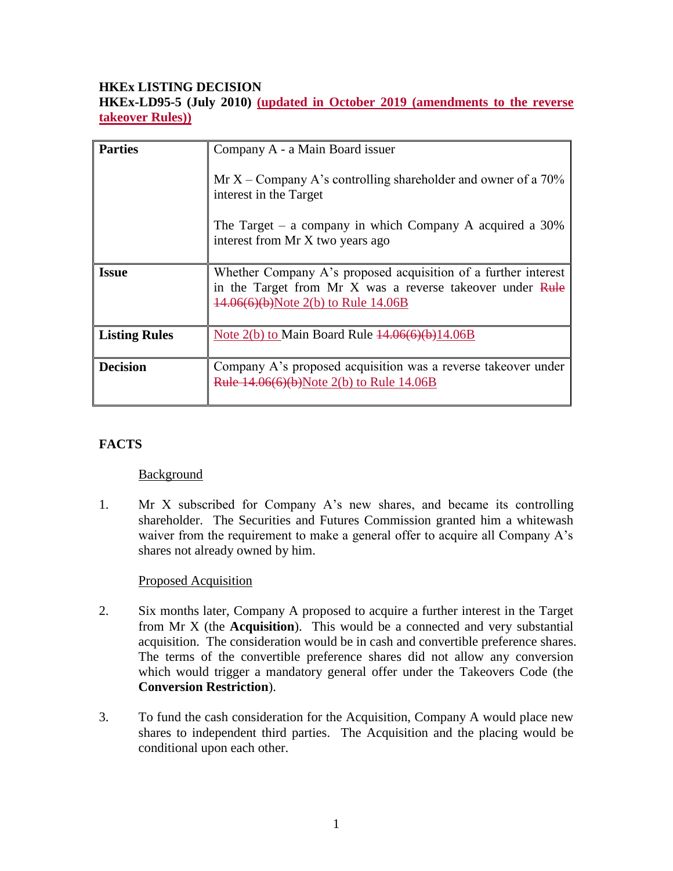## **HKEx LISTING DECISION**

**HKEx-LD95-5 (July 2010) (updated in October 2019 (amendments to the reverse takeover Rules))**

| <b>Parties</b>       | Company A - a Main Board issuer                                                                                                                                    |
|----------------------|--------------------------------------------------------------------------------------------------------------------------------------------------------------------|
|                      | Mr X – Company A's controlling shareholder and owner of a $70\%$<br>interest in the Target                                                                         |
|                      | The Target – a company in which Company A acquired a $30\%$<br>interest from Mr X two years ago                                                                    |
| <b>Issue</b>         | Whether Company A's proposed acquisition of a further interest<br>in the Target from Mr X was a reverse takeover under Rule<br>14.06(6)(b)Note 2(b) to Rule 14.06B |
| <b>Listing Rules</b> | Note $2(b)$ to Main Board Rule $14.06(6)(b)14.06B$                                                                                                                 |
| <b>Decision</b>      | Company A's proposed acquisition was a reverse takeover under<br><b>Rule 14.06(6)(b)</b> Note 2(b) to Rule 14.06B                                                  |

## **FACTS**

#### Background

1. Mr X subscribed for Company A's new shares, and became its controlling shareholder. The Securities and Futures Commission granted him a whitewash waiver from the requirement to make a general offer to acquire all Company A's shares not already owned by him.

#### Proposed Acquisition

- 2. Six months later, Company A proposed to acquire a further interest in the Target from Mr X (the **Acquisition**). This would be a connected and very substantial acquisition. The consideration would be in cash and convertible preference shares. The terms of the convertible preference shares did not allow any conversion which would trigger a mandatory general offer under the Takeovers Code (the **Conversion Restriction**).
- 3. To fund the cash consideration for the Acquisition, Company A would place new shares to independent third parties. The Acquisition and the placing would be conditional upon each other.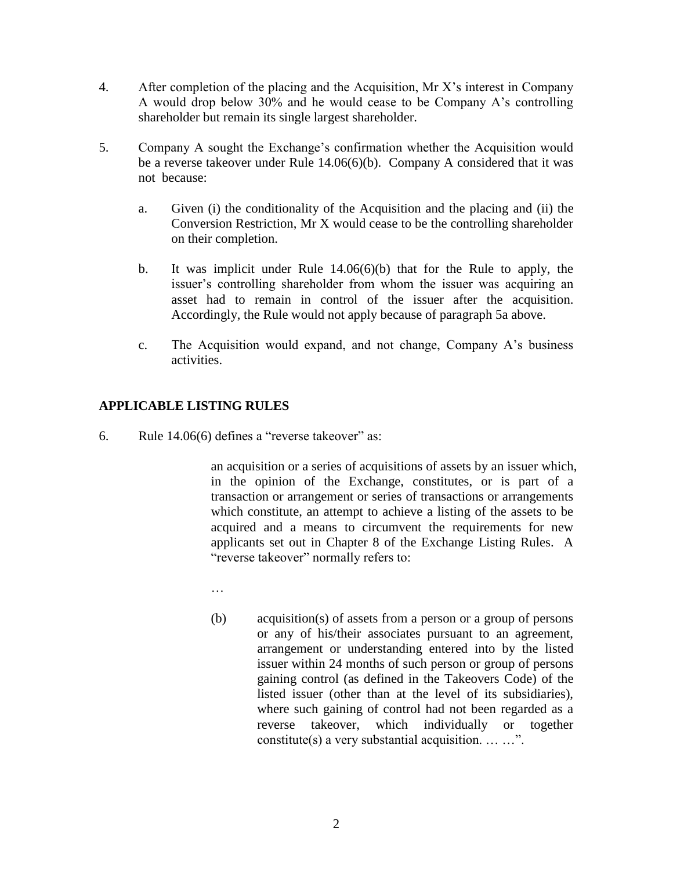- 4. After completion of the placing and the Acquisition, Mr X's interest in Company A would drop below 30% and he would cease to be Company A's controlling shareholder but remain its single largest shareholder.
- 5. Company A sought the Exchange's confirmation whether the Acquisition would be a reverse takeover under Rule 14.06(6)(b). Company A considered that it was not because:
	- a. Given (i) the conditionality of the Acquisition and the placing and (ii) the Conversion Restriction, Mr X would cease to be the controlling shareholder on their completion.
	- b. It was implicit under Rule 14.06(6)(b) that for the Rule to apply, the issuer's controlling shareholder from whom the issuer was acquiring an asset had to remain in control of the issuer after the acquisition. Accordingly, the Rule would not apply because of paragraph 5a above.
	- c. The Acquisition would expand, and not change, Company A's business activities.

## **APPLICABLE LISTING RULES**

6. Rule 14.06(6) defines a "reverse takeover" as:

an acquisition or a series of acquisitions of assets by an issuer which, in the opinion of the Exchange, constitutes, or is part of a transaction or arrangement or series of transactions or arrangements which constitute, an attempt to achieve a listing of the assets to be acquired and a means to circumvent the requirements for new applicants set out in Chapter 8 of the Exchange Listing Rules. A "reverse takeover" normally refers to:

- …
- (b) acquisition(s) of assets from a person or a group of persons or any of his/their associates pursuant to an agreement, arrangement or understanding entered into by the listed issuer within 24 months of such person or group of persons gaining control (as defined in the Takeovers Code) of the listed issuer (other than at the level of its subsidiaries), where such gaining of control had not been regarded as a reverse takeover, which individually or together constitute(s) a very substantial acquisition.  $\dots \dots$ ".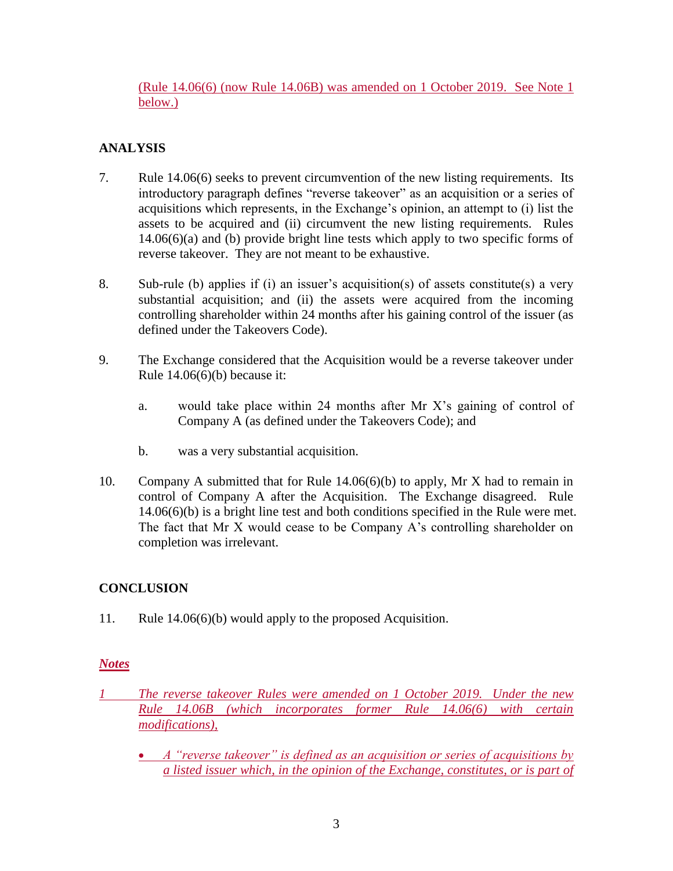(Rule 14.06(6) (now Rule 14.06B) was amended on 1 October 2019. See Note 1 below.)

# **ANALYSIS**

- 7. Rule 14.06(6) seeks to prevent circumvention of the new listing requirements. Its introductory paragraph defines "reverse takeover" as an acquisition or a series of acquisitions which represents, in the Exchange's opinion, an attempt to (i) list the assets to be acquired and (ii) circumvent the new listing requirements. Rules 14.06(6)(a) and (b) provide bright line tests which apply to two specific forms of reverse takeover. They are not meant to be exhaustive.
- 8. Sub-rule (b) applies if (i) an issuer's acquisition(s) of assets constitute(s) a very substantial acquisition; and (ii) the assets were acquired from the incoming controlling shareholder within 24 months after his gaining control of the issuer (as defined under the Takeovers Code).
- 9. The Exchange considered that the Acquisition would be a reverse takeover under Rule  $14.06(6)(b)$  because it:
	- a. would take place within 24 months after Mr X's gaining of control of Company A (as defined under the Takeovers Code); and
	- b. was a very substantial acquisition.
- 10. Company A submitted that for Rule 14.06(6)(b) to apply, Mr X had to remain in control of Company A after the Acquisition. The Exchange disagreed. Rule 14.06(6)(b) is a bright line test and both conditions specified in the Rule were met. The fact that Mr X would cease to be Company A's controlling shareholder on completion was irrelevant.

## **CONCLUSION**

11. Rule 14.06(6)(b) would apply to the proposed Acquisition.

### *Notes*

- *1 The reverse takeover Rules were amended on 1 October 2019. Under the new Rule 14.06B (which incorporates former Rule 14.06(6) with certain modifications),* 
	- *A "reverse takeover" is defined as an acquisition or series of acquisitions by a listed issuer which, in the opinion of the Exchange, constitutes, or is part of*